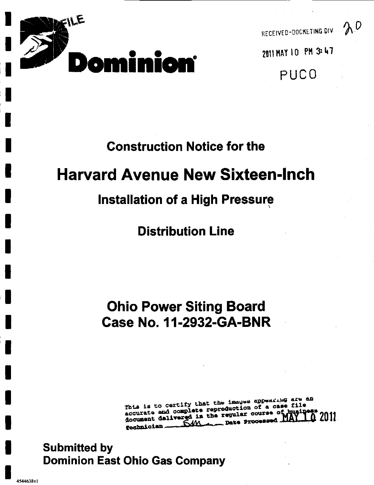

 $20$ 

PUC0

## **Construction Notice for the**

# **Harvard Avenue New Sixteen-Inch**

## **Installation of a High Pressure**

**Distribution Line** 

# **Ohio Power Siting Board Case No. 11-2932-GA-BNR**

This is to certify that the images appearing are an accurate and complete reproduction of a case file document delivered in the regular course of tugin TA 2011 **Angele Processed** <u>Sm</u> rechnician.

## **Submitted by Dominion East Ohio Gas Company**

4544638v1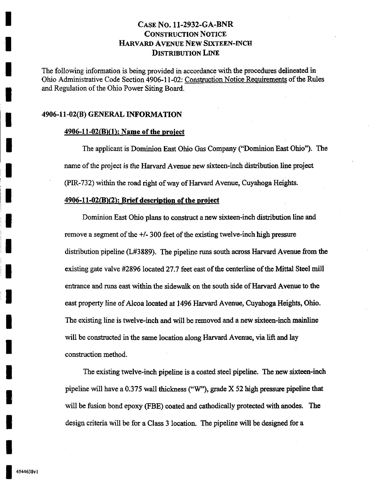The following information is being provided in accordance with the procedures delineated in Ohio Administrative Code Section 4906-11-02: Construction Notice Requirements of the Rules and Regulation of the Ohio Power Siting Board.

#### 4906-11-02(B) GENERAL INFORMATION

#### $4906-11-02(B)(1)$ : Name of the project

The applicant is Dominion East Ohio Gas Company ("Dominion East Ohio"). The name of the project is the Harvard Avenue new sixteen-inch distribution line project (PIR-732) within the road right of way of Harvard Avenue, Cuyahoga Heights.

#### $4906-11-02(B)(2)$ : Brief description of the project

Dominion East Ohio plans to construct a new sixteen-inch distribution line and remove a segment of the +/- 300 feet of the existing twelve-inch high pressure distribution pipeline (L#3889). The pipeline runs south across Harvard Avenue from the existing gate valve #2896 located 27.7 feet east of the centerline of the Mittal Steel mill entrance and runs east within the sidewalk on the south side of Harvard Avenue to the east property line of Alcoa located at 1496 Harvard Avenue, Cuyahoga Heights, Ohio. The existing line is twelve-inch and will be removed and a new sixteen-inch mainline will be constructed in the same location along Harvard Avenue, via lift and lay construction method.

The existing twelve-inch pipeline is a coated steel pipeline. The new sixteen-inch pipeline will have a 0.375 wall thickness ("W"), grade X 52 high pressure pipeline that will be fusion bond epoxy (FBE) coated and cathodically protected with anodes. The design criteria will be for a Class 3 location. The pipeline will be designed for a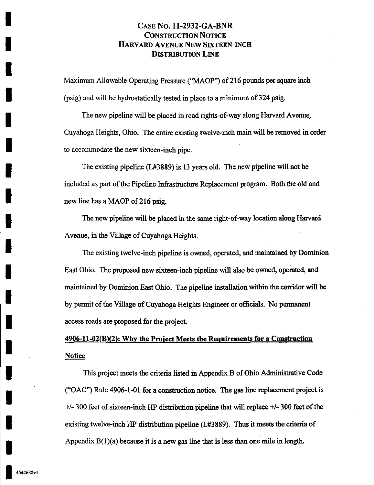Maximum Allowable Operating Pressure ("MAOP") of 216 pounds per square inch (psig) and will be hydrostatically tested in place to a minimum of 324 psig.

The new pipeline will be placed in road rights-of-way along Harvard Avenue, Cuyahoga Heights, Ohio. The entire existing twelve-inch main will be removed in order to accommodate the new sixteen-inch pipe.

The existing pipeline (L#3889) is 13 years old. The new pipeline will not be included as part of the Pipeline Infrastructure Replacement program. Both the old and new line has a MAOP of 216 psig.

The new pipeline will be placed in the same right-of-way location along Harvard Avenue, in the Village of Cuyahoga Heights.

The existing twelve-inch pipeline is owned, operated, and maintained by Dominion East Ohio. The proposed new sixteen-inch pipeline will also be owned, operated, and maintained by Dominion East Ohio. The pipeline installation within the corridor will be by permit of the Village of Cuyahoga Heights Engineer or officials. No permanent access roads are proposed for the project.

## $4906-11-02(B)(2)$ : Why the Project Meets the Requirements for a Construction Notice

This project meets the criteria listed in Appendix B of Ohio Adminisfrative Code ("OAC") Rule 4906-1-01 for a construction notice. The gas line replacement project is +/- 300 feet of sixteen-inch HP distribution pipeline that will replace +/- 300 feet of the existing twelve-inch HP distribution pipeline (L#3889). Thus it meets the criteria of Appendix  $B(1)(a)$  because it is a new gas line that is less than one mile in length.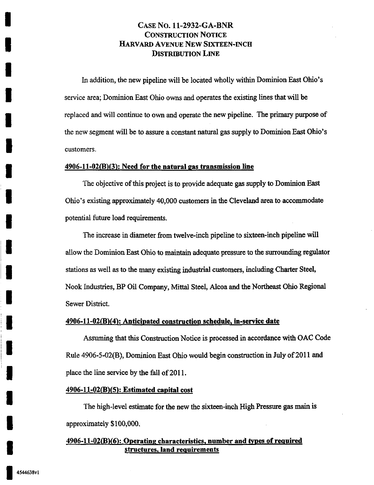In addition, the new pipeline will be located wholly within Dominion East Ohio's service area; Dominion East Ohio owns and operates the existing lines that will be replaced and will continue to own and operate the new pipeline. The primary purpose of the new segment will be to assure a constant natural gas supply to Dominion East Ohio's customers.

#### $4906-11-02(B)(3)$ : Need for the natural gas transmission line

The objective of this project is to provide adequate gas supply to Dominion East Ohio's existing approximately 40,000 customers in the Cleveland area to accommodate potential future load requirements.

The increase in diameter from twelve-inch pipeline to sixteen-inch pipeline will allow the Dominion East Ohio to maintain adequate pressure to the surrounding regulator stations as well as to the many existing industrial customers, including Charter Steel, Nook Industries, BP Oil Company, Mittal Steel, Alcoa and the Northeast Ohio Regional Sewer District.

#### 4906-11-02(B)(4): Anticipated construction schedule, in-service date

Assuming that this Construction Notice is processed in accordance with OAC Code Rule 4906-5-02(B), Dominion East Ohio would begm construction in July of 2011 and place the line service by the fall of 2011.

#### $4906 - 11 - 02(B)(5)$ : Estimated capital cost

The high-level estimate for the new the sixteen-inch High Pressure gas main is approximately \$ 100,000.

#### 4906-11-02(B)(6): Operating characteristics, number and types of required structures, land requirements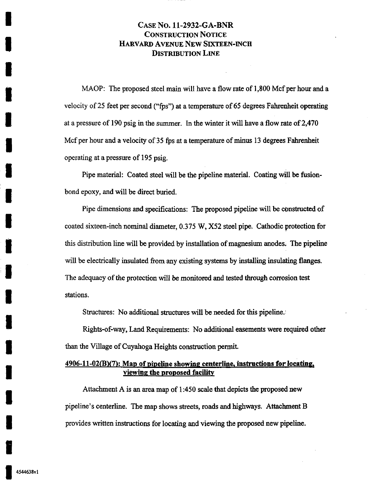MAOP: The proposed steel main will have a flow rate of 1,800 Mcf per hour and a velocity of 25 feet per second ("fps") at a temperature of 65 degrees Fahrenheit operating at a pressure of 190 psig in the summer. In the winter it will have a flow rate of 2,470 Mcf per hour and a velocity of 35 fps at a temperature of minus 13 degrees Fahrenheit operating at a pressure of 195 psig.

Pipe material: Coated steel will be the pipeline material. Coating will be fusionbond epoxy, and will be direct buried.

Pipe dimensions and specifications: The proposed pipeline will be constructed of coated sixteen-inch nominal diameter, 0.375 W, X52 steel pipe. Cathodic protection for this distribution line will be provided by installation of magnesiiun anodes. The pipeline will be electrically insulated from any existing systems by installing insulating flanges. The adequacy of the protection will be monitored and tested through corrosion test stations.

Structures: No additional structures will be needed for this pipeline.

Rights-of-way, Land Requirements: No additional easements were required other than the Village of Cuyahoga Heights construction permit.

#### 4906-11-02(B)(7): Map of pipeline showing centerline, instructions for locating, viewing the proposed facility

Attachment A is an area map of 1:450 scale that depicts the proposed new pipeline's centerline. The map shows streets, roads and highways. Attachment B provides written instructions for locating and viewing the proposed new pipeline.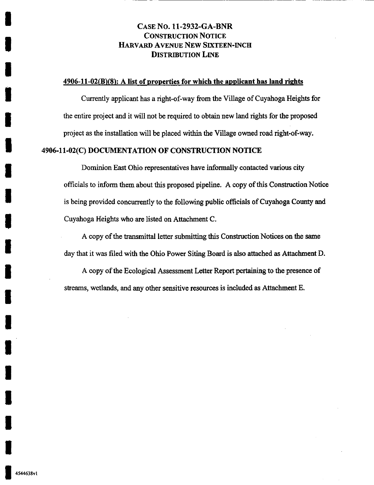#### 4906-11-02(B)(8): A list of properties for which the applicant has land rights

Currently applicant has a right-of-way from the Village of Cuyahoga Heights for the entire project and it will not be required to obtain new land rights for the proposed project as the installation will be placed within the Village owned road right-of-way.

#### 4906-11-02(C) DOCUMENTATION OF CONSTRUCTION NOTICE

Dominion East Ohio representatives have informally contacted various city officials to inform them about this proposed pipeline. A copy of this Construction Notice is being provided concurrently to the following public officials of Cuyahoga County and Cuyahoga Heights who are listed on Attachment C.

A copy of the fransmittal letter submitting this Construction Notices on the same day that it was filed with the Ohio Power Siting Board is also attached as Attachment D.

A copy of the Ecological Assessment Letter Report pertaining to the presence of streams, wetlands, and any other sensitive resources is included as Attachment E.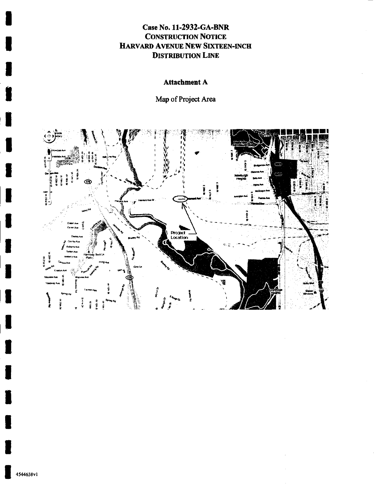## Attachment A

Map of Project Area



ı

I

I

I

U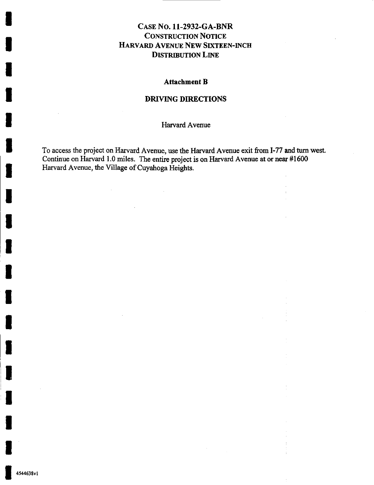#### Attachment B

#### DRIVING DIRECTIONS

Harvard Avenue

To access the project on Harvard Avenue, use the Harvard Avenue exit from 1-77 and turn west. Continue on Harvard 1.0 miles. The entire project is on Harvard Avenue at or near #1600 Harvard Avenue, the Village of Cuyahoga Heights.

 $\sim 10^7$ 

 $\sim$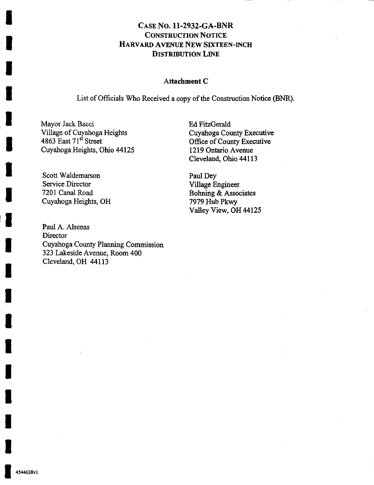#### Attachment C

List of Officials Who Received a copy of the Construction Notice (BNR).

Mayor Jack Bacci Village of Cuyahoga Heights 4863 East 71<sup>st</sup> Street Cuyahoga Heights, Ohio 44125

Scott Waldemarson Service Director 7201 Canal Road Cuyahoga Heights, OH

Paul A. Alsenas **Director** Cuyahoga County Planning Commission 323 Lakeside Avenue, Room 400 Cleveland, OH 44113

Ed FitzGerald Cuyahoga County Executive Office of County Executive 1219 Ontario Avenue Cleveland, Ohio 44113

Paul Dey Village Engineer Bohning & Associates 7979 Hub Pkwy Valley View, OH 44125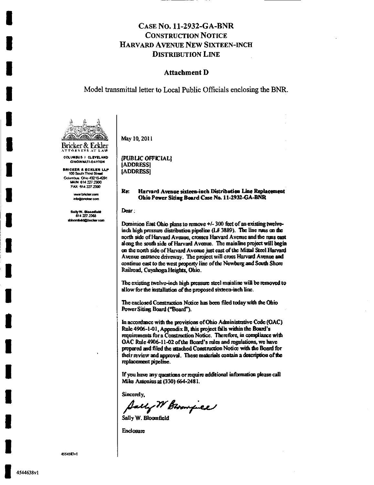#### **Attachment D**

#### Model transmittal letter to Local Public Officials enclosing the BNR.



**COLUMBUS I CLEVELAND** 

**CINCINNATI-DAYTON** 

**BRICKER & ECKLER LLP**<br>100 South Third Street Columbus, Ohio 43215-4291 MAIN: 614 227 2300 FAX: 514.227.2390

> w brieker.com .<br>Info@bridiar.com

Sally W. Bloomfield<br>614.227.2368 sbioomischaft brieker com

#### Re: Harvard Avenue sixteen-inch Distribution Line Replacement Ohio Power Siting Board Case No. 11-2932-GA-BNR

Dear :

May 10, 2011

[ADDRESS]

[ADDRESS]

[PUBLIC OFFICIAL]

Dominion East Ohio plans to remove +/- 300 feet of an existing twelveinch high pressure distribution pipeline  $(1.4 \, 3889)$ . The line runs on the north side of Harvard Avenue, crosses Harvard Avenue and the runs cast along the south side of Harvard Avenue. The mainline project will begin on the north side of Harvard Avenue just east of the Mittal Steel Harvard Avenue entrance driveway. The project will cross Harvard Avenue and continue east to the west property line of the Newburg and South Shore Railroad, Cuyahoga Heights, Ohio.

The existing twelve-inch high pressure steel mainline will be removed to allow for the installation of the proposed sixteen-inch line.

The enclosed Construction Notice has been filed today with the Ohio Power Siting Board ("Board").

In accordance with the provisions of Ohio Administrative Code (OAC) Rule 4906-1-01, Appendix B, this project falls within the Board's requirements for a Construction Notice. Therefore, in compliance with OAC Rule 4906-11-02 of the Board's rules and regulations, we have prepared and filed the attached Construction Notice with the Board for their review and approval. These materials contain a description of the replacement pipeline.

If you have any questions or require additional information please call Mike Antonius at (330) 664-2481.

Sincerely.

Auchy W Brownpiel

Enclosure

4554583v1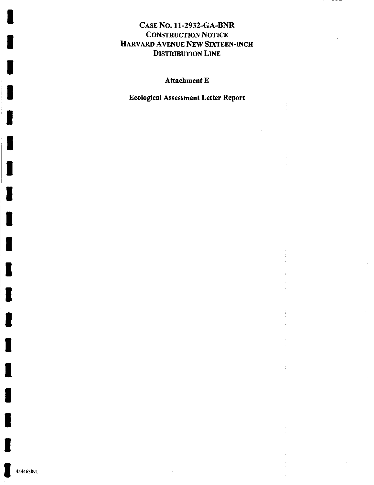## Attachment E

Ecological Assessment Letter Report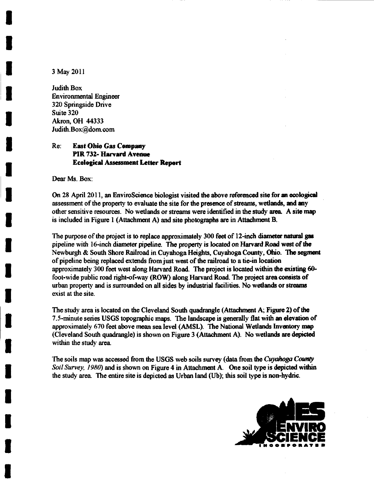3 May 2011

Judith Box Environmental Engineer 320 Springside Drive Suite 320 Akron, OH 44333 Judith. Box@dom. com

#### Re: East Ohio Gas Company PIR 732- Harvard Avenue Ecological Assessment Letter Report

Dear Ms. Box:

On 28 April 2011, an EnviroScience biologist visited the above referenced site for an ecological assessment of the property to evaluate the site for the presence of streams, wetlands, and any other sensitive resources. No wetlands or streams were identified in the study area. A site map is included in Figure 1 (Attachment A) and site photographs are in Attachment B.

The purpose of the project is to replace approximately 300 feet of 12-inch diameter natural gas pipeline with 16-inch diameter pipeline. The property is located on Harvard Road west of the Newburgh & South Shore Railroad in Cuyahoga Heights, Cuyahoga County, Ohio. The segment of pipeline being replaced extends from just west of Ihe railroad to a tie-in location approximately 300 feet west along Harvard Road. The project is located within the existing 60 foot-wide public road right-of-way (ROW) along Harvard Road. The project area consists of urban property and is surrounded on all sides by industrial facilities. No wetlands or streams exist at the site.

The study area is located on the Cleveland South quadrangle (Attachment A; Figure 2) of the 7.5-minute series USGS topographic maps. The landscape is generally flat with an elevation of approximately 670 feet above mean sea level (AMSL). The National Wetlands Inventory map (Cleveland South quadrangle) is shown on Figure 3 (Attachment A). No wetlands are depicted within the study area

The soils map was accessed from the USGS web soils survey (data from the *Cuyahoga County* Soil Survey, 1980) and is shown on Figure 4 in Attachment A. One soil type is depicted within the study area. The entire site is depicted as Urban land (Ub); this soil type is non-hydric.

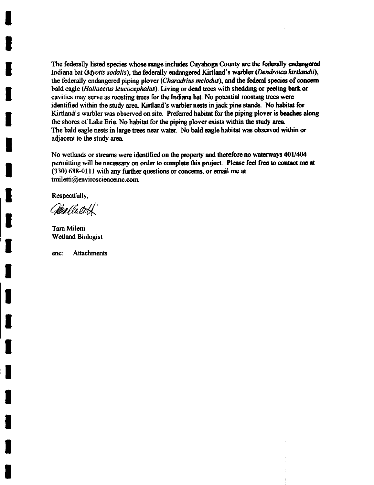The federally listed species whose range includes Cuyahoga County are the federally endangered Indiana bat (Myotis sodalis), the federally endangered Kirtland's warbler (Dendroica kirtlandii), the federally endangered piping plover (Charadrius melodus), and the federal species of concern bald eagle (Haliaeetus leucocephalus). Living or dead trees with shedding or peeling bark or cavities may serve as roosting trees for the Indiana bat. No potential roosting trees wore identified within the study area. Kirtland's warbler nests in jack pine stands. No habitat for Kirtland's warbler was observed on site. Preferred habitat for the piping plover is beaches along the shores of Lake Erie. No habitat for the piping plover exists within the study area The bald eagle nests in large trees near water. No bald eagle habitat was observed within or adjacent to the study area.

No wetlands or streams were identified on the property and therefore no waterways 401/404 permitting will be necessary on order to complete this project. Please feel free to contact me at  $(330)$  688-0111 with any further questions or concerns, or email me at tniiletti@enviroscienceinc. com.

Respectfully,

Mallateth

Tara Miletti Wetland Biologist

enc: Attachments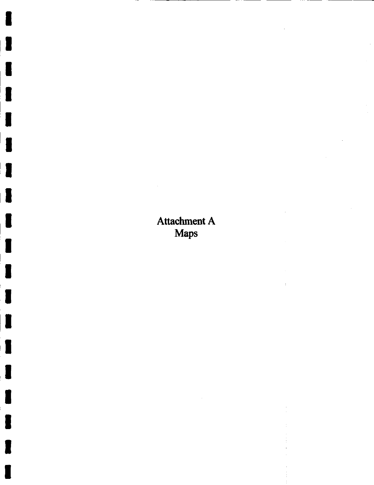## Attachment A Maps

à.

ł

ı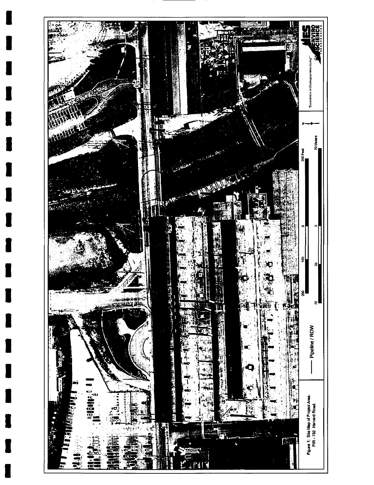

T

I

H

L

L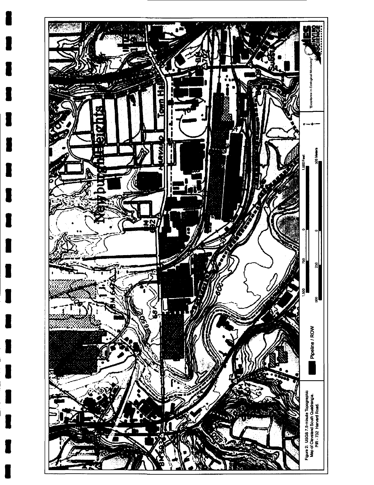

I

I

H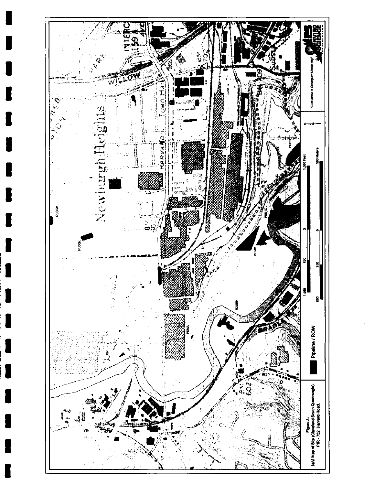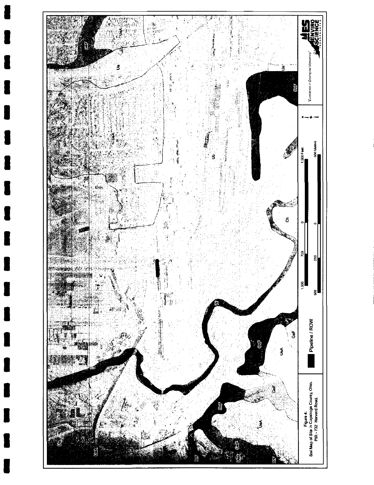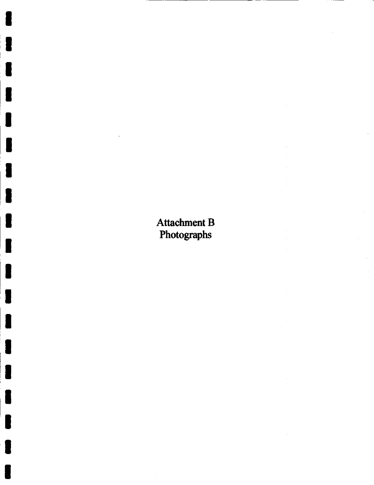## Attachment B Photographs

 $\bar{z}$  $\bar{z}$ 

> $\hat{\boldsymbol{\beta}}$  $\bar{z}$

 $\frac{1}{4}$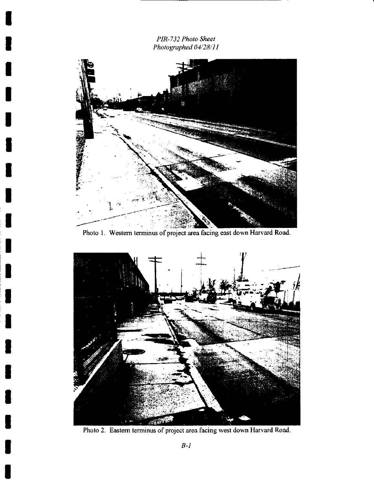PIR-732 Photo Sheet Photographed 04/28/11



l

l

I

I

I

I

U

J

Photo I, Western terminus of project area facing east down Harvard Road.



Photo 2. Eastern terminus of project area facing west down Harvard Road.